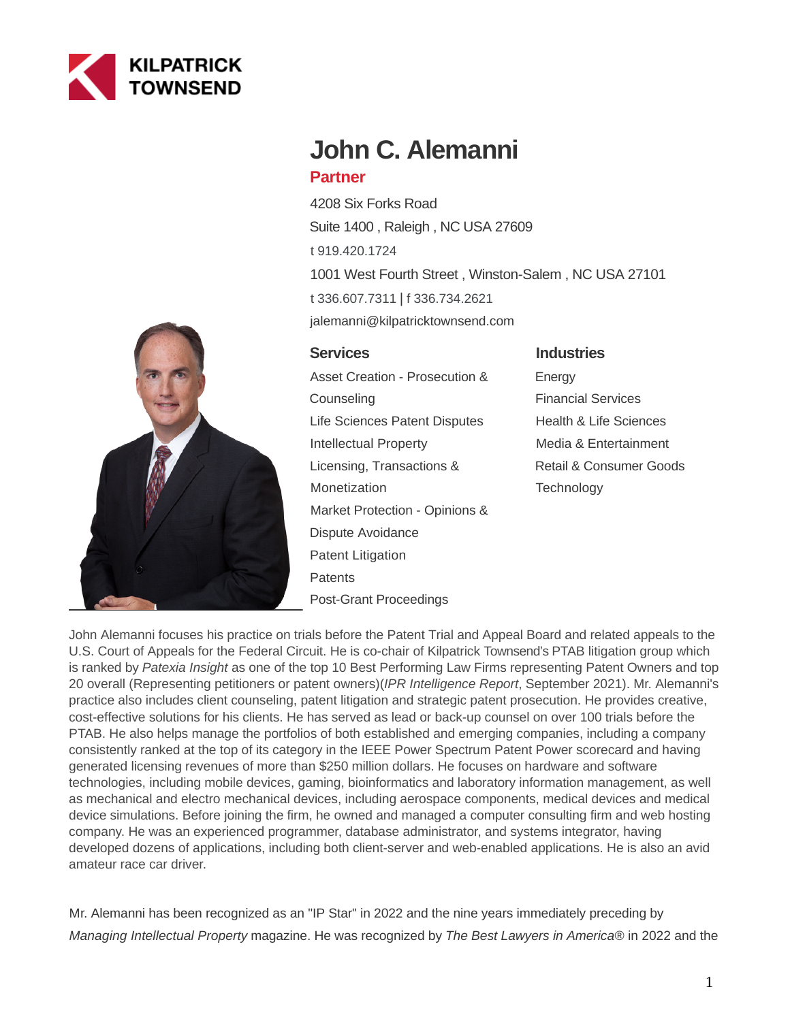



# **John C. Alemanni**

# **Partner**

4208 Six Forks Road Suite 1400 , Raleigh , NC USA 27609 [t 919.420.1724](tel:919.420.1724) 1001 West Fourth Street , Winston-Salem , NC USA 27101 [t 336.607.7311](tel:336.607.7311) | [f 336.734.2621](fax:336.734.2621) jalemanni@kilpatricktownsend.com

# **Services**

Asset Creation - Prosecution & **Counseling** Life Sciences Patent Disputes Intellectual Property Licensing, Transactions & Monetization Market Protection - Opinions & Dispute Avoidance Patent Litigation **Patents** Post-Grant Proceedings

# **Industries**

**Energy** Financial Services Health & Life Sciences Media & Entertainment Retail & Consumer Goods **Technology** 

John Alemanni focuses his practice on trials before the Patent Trial and Appeal Board and related appeals to the U.S. Court of Appeals for the Federal Circuit. He is co-chair of Kilpatrick Townsend's PTAB litigation group which is ranked by Patexia Insight as one of the top 10 Best Performing Law Firms representing Patent Owners and top 20 overall (Representing petitioners or patent owners)(*IPR Intelligence Report*, September 2021). Mr. Alemanni's practice also includes client counseling, patent litigation and strategic patent prosecution. He provides creative, cost-effective solutions for his clients. He has served as lead or back-up counsel on over 100 trials before the PTAB. He also helps manage the portfolios of both established and emerging companies, including a company consistently ranked at the top of its category in the IEEE Power Spectrum Patent Power scorecard and having generated licensing revenues of more than \$250 million dollars. He focuses on hardware and software technologies, including mobile devices, gaming, bioinformatics and laboratory information management, as well as mechanical and electro mechanical devices, including aerospace components, medical devices and medical device simulations. Before joining the firm, he owned and managed a computer consulting firm and web hosting company. He was an experienced programmer, database administrator, and systems integrator, having developed dozens of applications, including both client-server and web-enabled applications. He is also an avid amateur race car driver.

Mr. Alemanni has been recognized as an "IP Star" in 2022 and the nine years immediately preceding by Managing Intellectual Property magazine. He was recognized by The Best Lawyers in America® in 2022 and the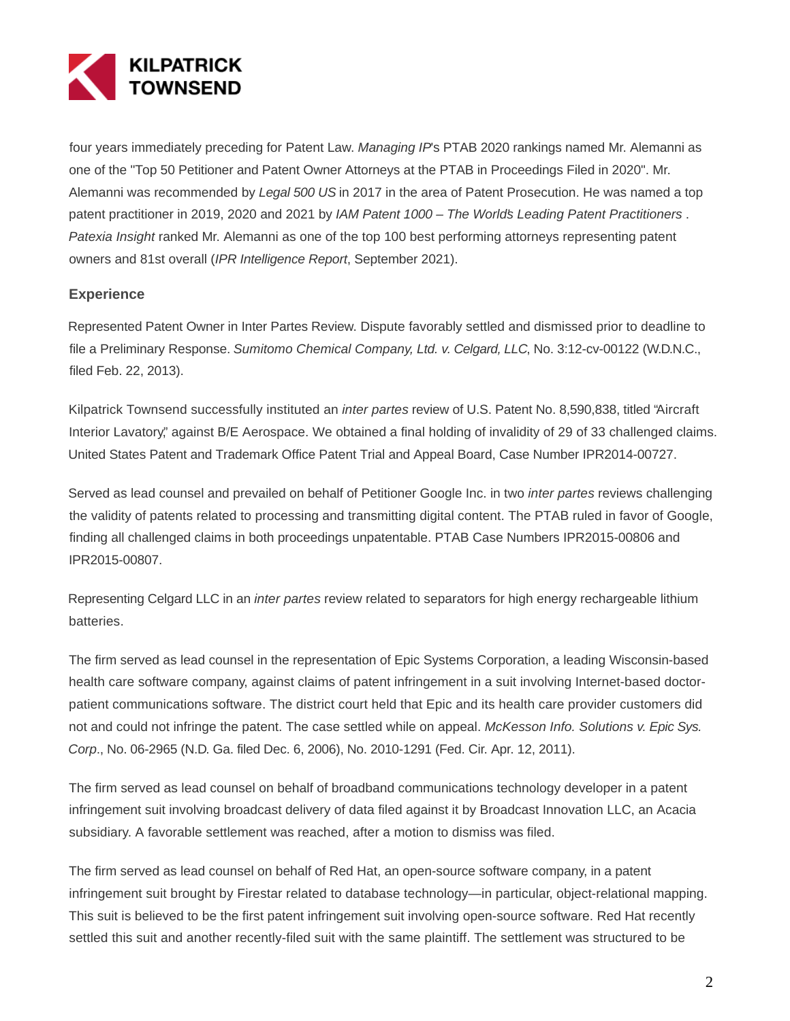

four years immediately preceding for Patent Law. Managing IP's PTAB 2020 rankings named Mr. Alemanni as one of the "Top 50 Petitioner and Patent Owner Attorneys at the PTAB in Proceedings Filed in 2020". Mr. Alemanni was recommended by Legal 500 US in 2017 in the area of Patent Prosecution. He was named a top patent practitioner in 2019, 2020 and 2021 by IAM Patent 1000 – The World's Leading Patent Practitioners. Patexia Insight ranked Mr. Alemanni as one of the top 100 best performing attorneys representing patent owners and 81st overall (IPR Intelligence Report, September 2021).

# **Experience**

Represented Patent Owner in Inter Partes Review. Dispute favorably settled and dismissed prior to deadline to file a Preliminary Response. Sumitomo Chemical Company, Ltd. v. Celgard, LLC, No. 3:12-cv-00122 (W.D.N.C., filed Feb. 22, 2013).

Kilpatrick Townsend successfully instituted an inter partes review of U.S. Patent No. 8,590,838, titled "Aircraft Interior Lavatory," against B/E Aerospace. We obtained a final holding of invalidity of 29 of 33 challenged claims. United States Patent and Trademark Office Patent Trial and Appeal Board, Case Number IPR2014-00727.

Served as lead counsel and prevailed on behalf of Petitioner Google Inc. in two *inter partes* reviews challenging the validity of patents related to processing and transmitting digital content. The PTAB ruled in favor of Google, finding all challenged claims in both proceedings unpatentable. PTAB Case Numbers IPR2015-00806 and IPR2015-00807.

Representing Celgard LLC in an *inter partes* review related to separators for high energy rechargeable lithium batteries.

The firm served as lead counsel in the representation of Epic Systems Corporation, a leading Wisconsin-based health care software company, against claims of patent infringement in a suit involving Internet-based doctorpatient communications software. The district court held that Epic and its health care provider customers did not and could not infringe the patent. The case settled while on appeal. McKesson Info. Solutions v. Epic Sys. Corp., No. 06-2965 (N.D. Ga. filed Dec. 6, 2006), No. 2010-1291 (Fed. Cir. Apr. 12, 2011).

The firm served as lead counsel on behalf of broadband communications technology developer in a patent infringement suit involving broadcast delivery of data filed against it by Broadcast Innovation LLC, an Acacia subsidiary. A favorable settlement was reached, after a motion to dismiss was filed.

The firm served as lead counsel on behalf of Red Hat, an open-source software company, in a patent infringement suit brought by Firestar related to database technology—in particular, object-relational mapping. This suit is believed to be the first patent infringement suit involving open-source software. Red Hat recently settled this suit and another recently-filed suit with the same plaintiff. The settlement was structured to be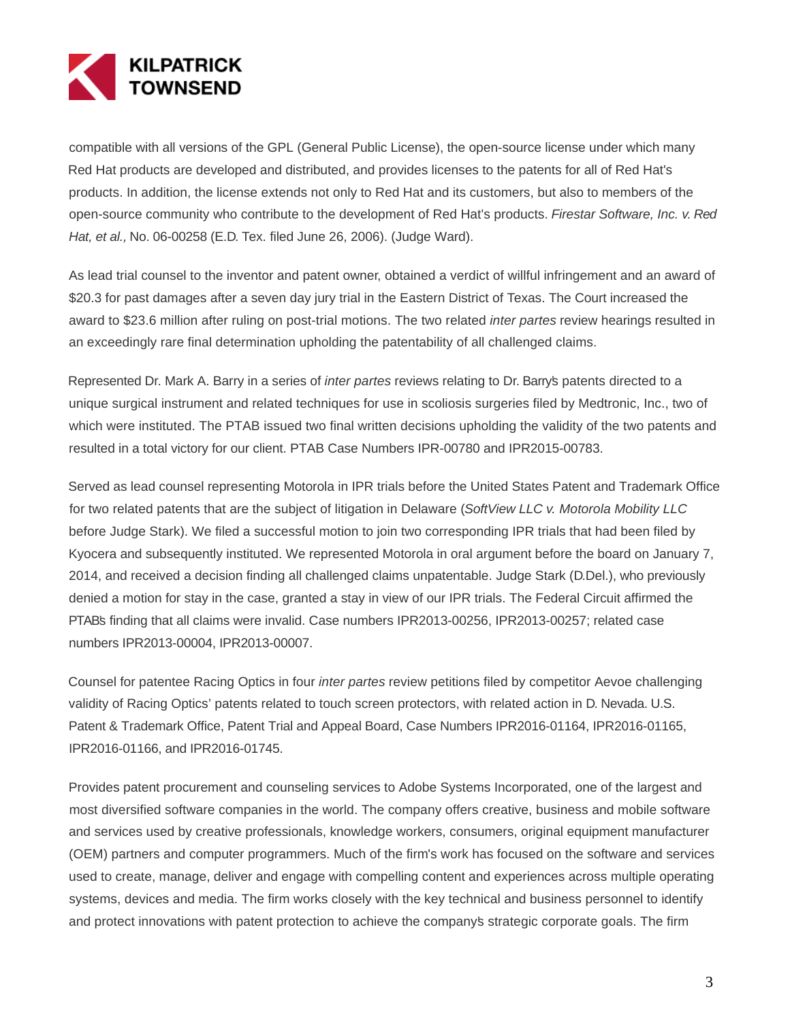

compatible with all versions of the GPL (General Public License), the open-source license under which many Red Hat products are developed and distributed, and provides licenses to the patents for all of Red Hat's products. In addition, the license extends not only to Red Hat and its customers, but also to members of the open-source community who contribute to the development of Red Hat's products. Firestar Software, Inc. v. Red Hat, et al., No. 06-00258 (E.D. Tex. filed June 26, 2006). (Judge Ward).

As lead trial counsel to the inventor and patent owner, obtained a verdict of willful infringement and an award of \$20.3 for past damages after a seven day jury trial in the Eastern District of Texas. The Court increased the award to \$23.6 million after ruling on post-trial motions. The two related *inter partes* review hearings resulted in an exceedingly rare final determination upholding the patentability of all challenged claims.

Represented Dr. Mark A. Barry in a series of *inter partes* reviews relating to Dr. Barry's patents directed to a unique surgical instrument and related techniques for use in scoliosis surgeries filed by Medtronic, Inc., two of which were instituted. The PTAB issued two final written decisions upholding the validity of the two patents and resulted in a total victory for our client. PTAB Case Numbers IPR-00780 and IPR2015-00783.

Served as lead counsel representing Motorola in IPR trials before the United States Patent and Trademark Office for two related patents that are the subject of litigation in Delaware (SoftView LLC v. Motorola Mobility LLC before Judge Stark). We filed a successful motion to join two corresponding IPR trials that had been filed by Kyocera and subsequently instituted. We represented Motorola in oral argument before the board on January 7, 2014, and received a decision finding all challenged claims unpatentable. Judge Stark (D.Del.), who previously denied a motion for stay in the case, granted a stay in view of our IPR trials. The Federal Circuit affirmed the PTAB's finding that all claims were invalid. Case numbers IPR2013-00256, IPR2013-00257; related case numbers IPR2013-00004, IPR2013-00007.

Counsel for patentee Racing Optics in four *inter partes* review petitions filed by competitor Aevoe challenging validity of Racing Optics' patents related to touch screen protectors, with related action in D. Nevada. U.S. Patent & Trademark Office, Patent Trial and Appeal Board, Case Numbers IPR2016-01164, IPR2016-01165, IPR2016-01166, and IPR2016-01745.

Provides patent procurement and counseling services to Adobe Systems Incorporated, one of the largest and most diversified software companies in the world. The company offers creative, business and mobile software and services used by creative professionals, knowledge workers, consumers, original equipment manufacturer (OEM) partners and computer programmers. Much of the firm's work has focused on the software and services used to create, manage, deliver and engage with compelling content and experiences across multiple operating systems, devices and media. The firm works closely with the key technical and business personnel to identify and protect innovations with patent protection to achieve the company's strategic corporate goals. The firm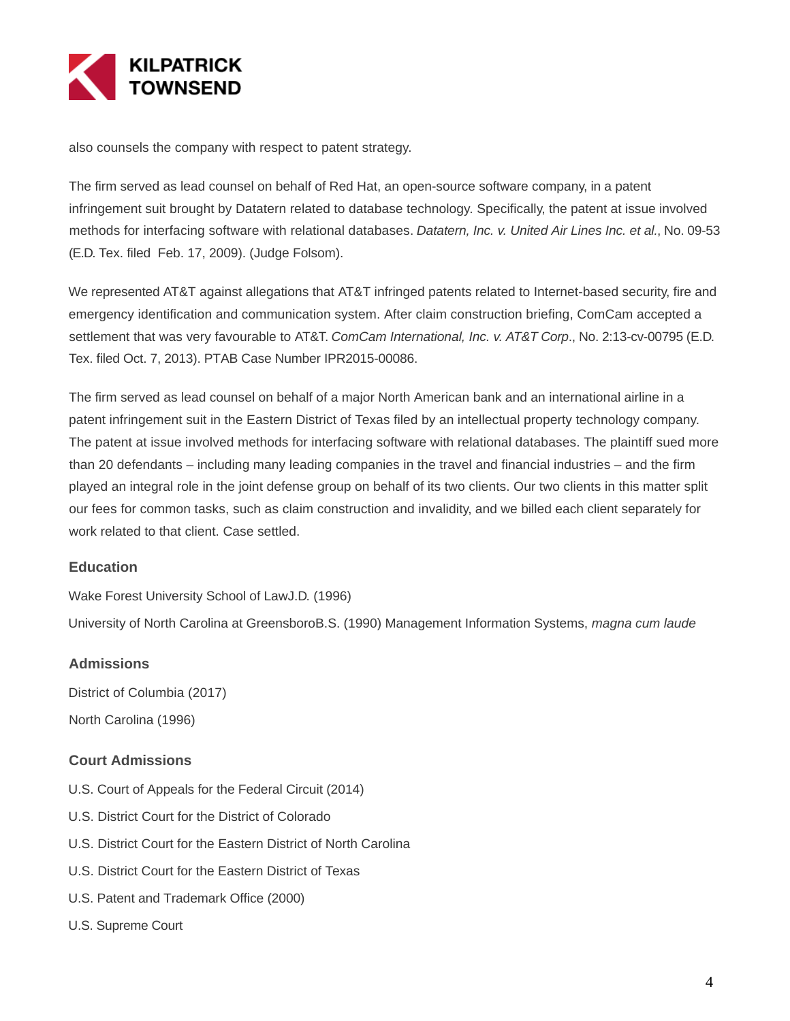

also counsels the company with respect to patent strategy.

The firm served as lead counsel on behalf of Red Hat, an open-source software company, in a patent infringement suit brought by Datatern related to database technology. Specifically, the patent at issue involved methods for interfacing software with relational databases. Datatern, Inc. v. United Air Lines Inc. et al., No. 09-53 (E.D. Tex. filed Feb. 17, 2009). (Judge Folsom).

We represented AT&T against allegations that AT&T infringed patents related to Internet-based security, fire and emergency identification and communication system. After claim construction briefing, ComCam accepted a settlement that was very favourable to AT&T. ComCam International, Inc. v. AT&T Corp., No. 2:13-cv-00795 (E.D. Tex. filed Oct. 7, 2013). PTAB Case Number IPR2015-00086.

The firm served as lead counsel on behalf of a major North American bank and an international airline in a patent infringement suit in the Eastern District of Texas filed by an intellectual property technology company. The patent at issue involved methods for interfacing software with relational databases. The plaintiff sued more than 20 defendants – including many leading companies in the travel and financial industries – and the firm played an integral role in the joint defense group on behalf of its two clients. Our two clients in this matter split our fees for common tasks, such as claim construction and invalidity, and we billed each client separately for work related to that client. Case settled.

# **Education**

Wake Forest University School of LawJ.D. (1996)

University of North Carolina at GreensboroB.S. (1990) Management Information Systems, magna cum laude

#### **Admissions**

District of Columbia (2017) North Carolina (1996)

# **Court Admissions**

- U.S. Court of Appeals for the Federal Circuit (2014)
- U.S. District Court for the District of Colorado
- U.S. District Court for the Eastern District of North Carolina
- U.S. District Court for the Eastern District of Texas
- U.S. Patent and Trademark Office (2000)
- U.S. Supreme Court